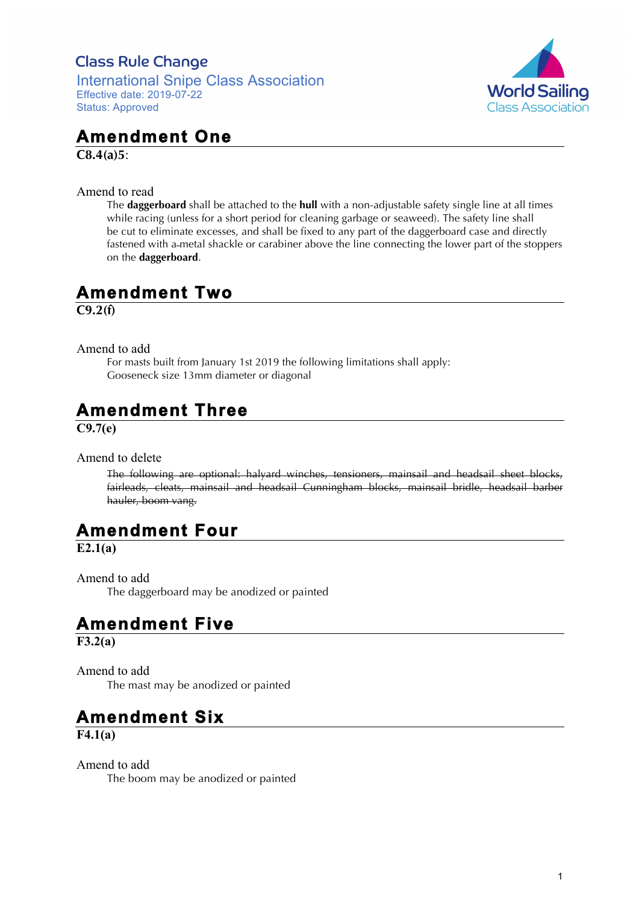### **Class Rule Change**

International Snipe Class Association Effective date: 2019-07-22 Status: Approved



# **Amendment One**

**C8.4(a)5**:

Amend to read

The **daggerboard** shall be attached to the **hull** with a non-adjustable safety single line at all times while racing (unless for a short period for cleaning garbage or seaweed). The safety line shall be cut to eliminate excesses, and shall be fixed to any part of the daggerboard case and directly fastened with a metal shackle or carabiner above the line connecting the lower part of the stoppers on the **daggerboard**.

## **Amendment Two**

**C9.2(f)**

Amend to add

For masts built from January 1st 2019 the following limitations shall apply: Gooseneck size 13mm diameter or diagonal

# **Amendment Three**

**C9.7(e)**

Amend to delete

The following are optional: halyard winches, tensioners, mainsail and headsail sheet blocks, fairleads, cleats, mainsail and headsail Cunningham blocks, mainsail bridle, headsail barber hauler, boom vang.

## **Amendment Four**

**E2.1(a)**

Amend to add The daggerboard may be anodized or painted

## **Amendment Five**

**F3.2(a)**

Amend to add The mast may be anodized or painted

## **Amendment Six**

**F4.1(a)**

Amend to add The boom may be anodized or painted